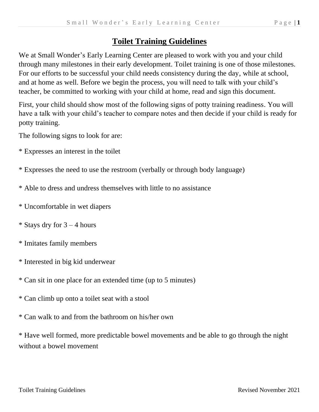## **Toilet Training Guidelines**

We at Small Wonder's Early Learning Center are pleased to work with you and your child through many milestones in their early development. Toilet training is one of those milestones. For our efforts to be successful your child needs consistency during the day, while at school, and at home as well. Before we begin the process, you will need to talk with your child's teacher, be committed to working with your child at home, read and sign this document.

First, your child should show most of the following signs of potty training readiness. You will have a talk with your child's teacher to compare notes and then decide if your child is ready for potty training.

The following signs to look for are:

- \* Expresses an interest in the toilet
- \* Expresses the need to use the restroom (verbally or through body language)
- \* Able to dress and undress themselves with little to no assistance
- \* Uncomfortable in wet diapers
- \* Stays dry for  $3 4$  hours
- \* Imitates family members
- \* Interested in big kid underwear
- \* Can sit in one place for an extended time (up to 5 minutes)
- \* Can climb up onto a toilet seat with a stool
- \* Can walk to and from the bathroom on his/her own

\* Have well formed, more predictable bowel movements and be able to go through the night without a bowel movement